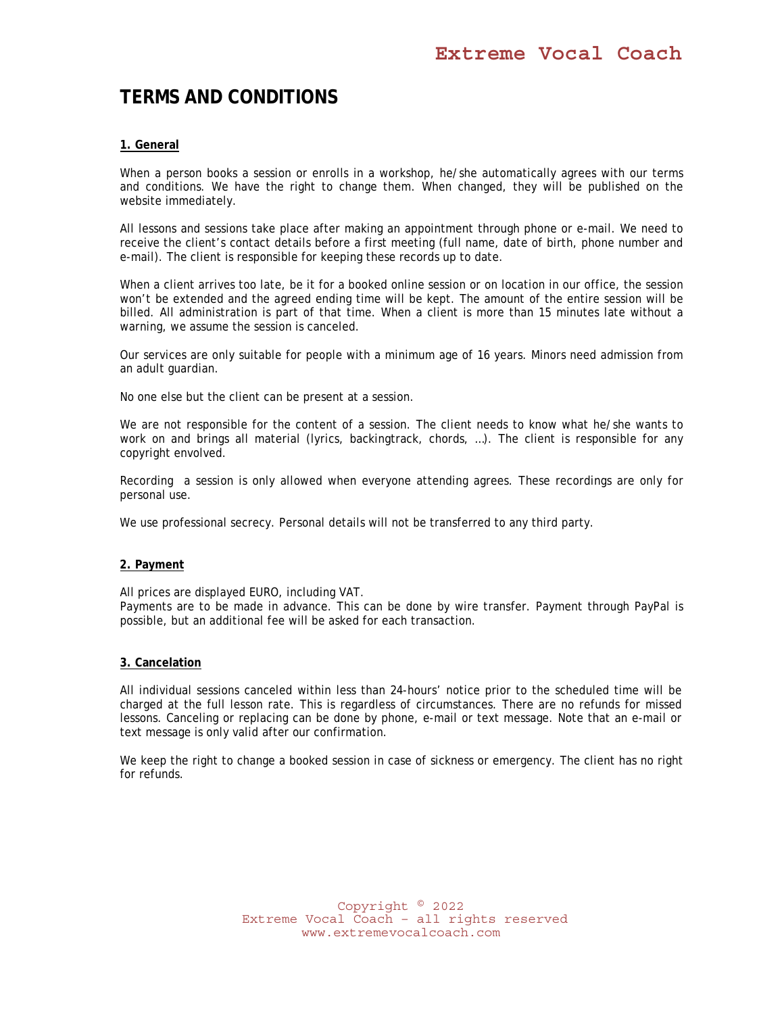# **TERMS AND CONDITIONS**

## **1. General**

When a person books a session or enrolls in a workshop, he/she automatically agrees with our terms and conditions. We have the right to change them. When changed, they will be published on the website immediately.

All lessons and sessions take place after making an appointment through phone or e-mail. We need to receive the client's contact details before a first meeting (full name, date of birth, phone number and e-mail). The client is responsible for keeping these records up to date.

When a client arrives too late, be it for a booked online session or on location in our office, the session won't be extended and the agreed ending time will be kept. The amount of the entire session will be billed. All administration is part of that time. When a client is more than 15 minutes late without a warning, we assume the session is canceled.

Our services are only suitable for people with a minimum age of 16 years. Minors need admission from an adult guardian.

No one else but the client can be present at a session.

We are not responsible for the content of a session. The client needs to know what he/she wants to work on and brings all material (lyrics, backingtrack, chords, ...). The client is responsible for any copyright envolved.

Recording a session is only allowed when everyone attending agrees. These recordings are only for personal use.

We use professional secrecy. Personal details will not be transferred to any third party.

#### **2. Payment**

All prices are displayed EURO, including VAT.

Payments are to be made in advance. This can be done by wire transfer. Payment through PayPal is possible, but an additional fee will be asked for each transaction.

#### **3. Cancelation**

All individual sessions canceled within less than 24-hours' notice prior to the scheduled time will be charged at the full lesson rate. This is regardless of circumstances. There are no refunds for missed lessons. Canceling or replacing can be done by phone, e-mail or text message. Note that an e-mail or text message is only valid after our confirmation.

We keep the right to change a booked session in case of sickness or emergency. The client has no right for refunds.

> Copyright © 2022 Extreme Vocal Coach – all rights reserved www.extremevocalcoach.com